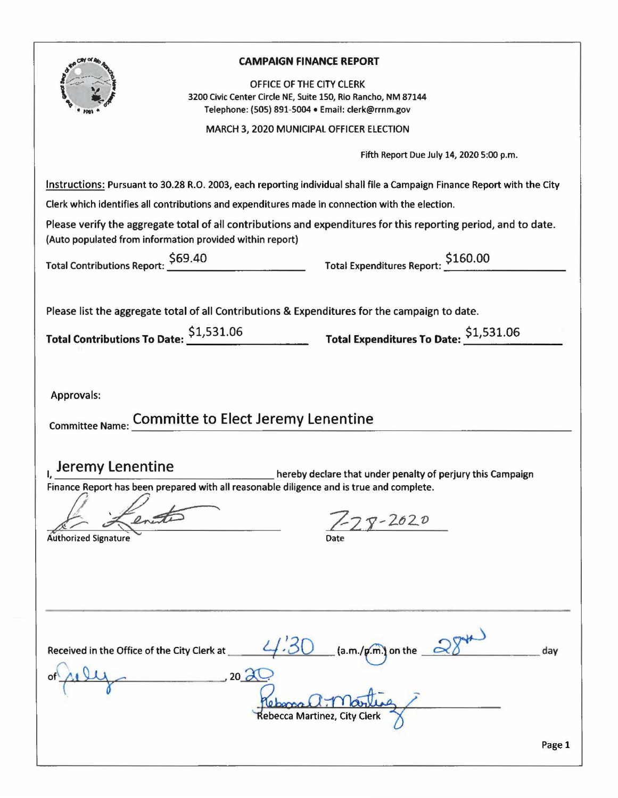|                                             |                                                                                                 | <b>CAMPAIGN FINANCE REPORT</b>                                                                                                                                                               |
|---------------------------------------------|-------------------------------------------------------------------------------------------------|----------------------------------------------------------------------------------------------------------------------------------------------------------------------------------------------|
|                                             |                                                                                                 | OFFICE OF THE CITY CLERK                                                                                                                                                                     |
|                                             | 3200 Civic Center Circle NE, Suite 150, Rio Rancho, NM 87144                                    | Telephone: (505) 891-5004 · Email: clerk@rrnm.gov                                                                                                                                            |
|                                             |                                                                                                 | MARCH 3, 2020 MUNICIPAL OFFICER ELECTION                                                                                                                                                     |
|                                             |                                                                                                 |                                                                                                                                                                                              |
|                                             |                                                                                                 | Fifth Report Due July 14, 2020 5:00 p.m.                                                                                                                                                     |
|                                             |                                                                                                 | Instructions: Pursuant to 30.28 R.O. 2003, each reporting individual shall file a Campaign Finance Report with the City                                                                      |
|                                             | Clerk which identifies all contributions and expenditures made in connection with the election. |                                                                                                                                                                                              |
|                                             | (Auto populated from information provided within report)                                        | Please verify the aggregate total of all contributions and expenditures for this reporting period, and to date.                                                                              |
|                                             |                                                                                                 | Total Contributions Report: 569.40<br>Total Expenditures Report: 5160.00                                                                                                                     |
|                                             |                                                                                                 |                                                                                                                                                                                              |
|                                             |                                                                                                 |                                                                                                                                                                                              |
|                                             |                                                                                                 | Please list the aggregate total of all Contributions & Expenditures for the campaign to date.                                                                                                |
|                                             |                                                                                                 | Total Contributions To Date: $\frac{$1,531.06}{\sqrt{$1,531.06}}$ Total Expenditures To Date: $\frac{$1,531.06}{\sqrt{$1,531.06}}$                                                           |
|                                             |                                                                                                 |                                                                                                                                                                                              |
|                                             |                                                                                                 |                                                                                                                                                                                              |
| Approvals:                                  |                                                                                                 |                                                                                                                                                                                              |
|                                             | Committee Name: Committe to Elect Jeremy Lenentine                                              |                                                                                                                                                                                              |
|                                             |                                                                                                 |                                                                                                                                                                                              |
|                                             |                                                                                                 |                                                                                                                                                                                              |
|                                             |                                                                                                 | $\frac{1}{1}$ , $\frac{Jeremy$ Lenentine hereby declare that under penalty of perjury this Campaign Finance Report has been prepared with all reasonable diligence and is true and complete. |
|                                             |                                                                                                 |                                                                                                                                                                                              |
|                                             |                                                                                                 | $-2620$                                                                                                                                                                                      |
| <b>Authorized Signature</b>                 |                                                                                                 | Date                                                                                                                                                                                         |
|                                             |                                                                                                 |                                                                                                                                                                                              |
|                                             |                                                                                                 |                                                                                                                                                                                              |
|                                             |                                                                                                 |                                                                                                                                                                                              |
|                                             |                                                                                                 |                                                                                                                                                                                              |
|                                             |                                                                                                 |                                                                                                                                                                                              |
| Received in the Office of the City Clerk at |                                                                                                 | $(a.m./p.m.)$ on the $\mathscr{Q}$<br>day                                                                                                                                                    |
|                                             | $20\Delta$                                                                                      |                                                                                                                                                                                              |
|                                             |                                                                                                 |                                                                                                                                                                                              |
|                                             |                                                                                                 | Rebecca Martinez, City Clerk                                                                                                                                                                 |
|                                             |                                                                                                 |                                                                                                                                                                                              |
|                                             |                                                                                                 | Page 1                                                                                                                                                                                       |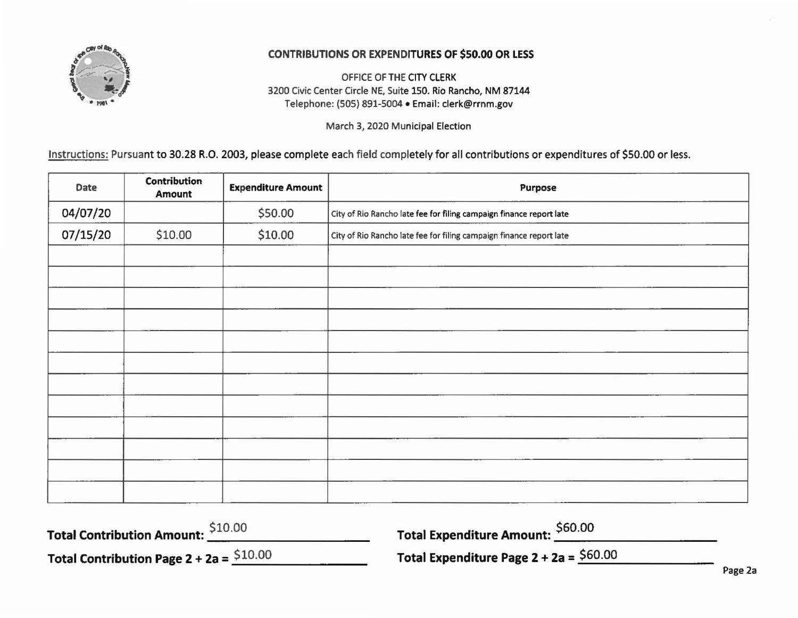

## CONTRIBUTIONS OR EXPENDITURES OF \$50.00 OR LESS

OFFICE OF THE CITY CLERK 3200 Civic Center Circle NE, Suite 150. Rio Rancho, NM 87144 Telephone: (505) 891-5004 •Email: clerk@rrnm.gov

March 3, 2020 Municipal Election

Instructions: Pursuant to 30.28 R.O. 2003, please complete each field completely for all contributions or expenditures of \$50.00 or less.

| Date     | Contribution<br><b>Amount</b> | <b>Expenditure Amount</b> | Purpose                                                             |  |
|----------|-------------------------------|---------------------------|---------------------------------------------------------------------|--|
| 04/07/20 |                               | \$50.00                   | City of Rio Rancho late fee for filing campaign finance report late |  |
| 07/15/20 | \$10.00                       | \$10.00                   | City of Rio Rancho late fee for filing campaign finance report late |  |
|          |                               |                           |                                                                     |  |
|          |                               |                           |                                                                     |  |
|          |                               |                           |                                                                     |  |
|          |                               |                           |                                                                     |  |
|          |                               |                           |                                                                     |  |
|          |                               |                           |                                                                     |  |
|          |                               |                           |                                                                     |  |
|          |                               |                           |                                                                     |  |
|          |                               |                           |                                                                     |  |
|          |                               |                           |                                                                     |  |
|          |                               |                           |                                                                     |  |
|          |                               |                           |                                                                     |  |

| Total Contribution Amount: \$10.00        | Total Expenditure Amount: \$60.00                   |  |  |
|-------------------------------------------|-----------------------------------------------------|--|--|
| Total Contribution Page $2 + 2a = $10.00$ | Total Expenditure Page $2 + 2a = $60.00$<br>Page 2a |  |  |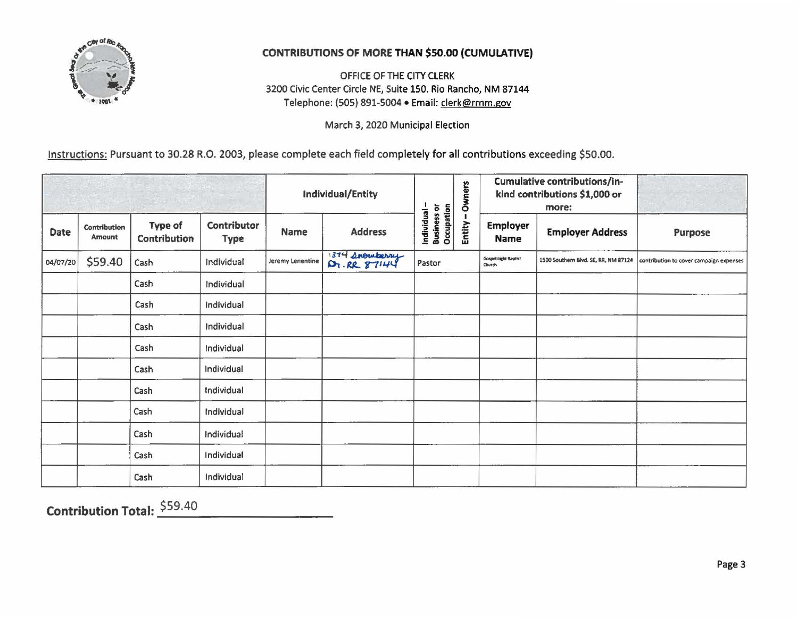

## **CONTRIBUTIONS OF MORE THAN \$50.00 (CUMULATIVE)**

OFFICE OF THE CITY CLERK 3200 Civic Center Circle NE, Suite 150. Rio Rancho, NM 87144 Telephone: (505) 891-5004 · Email: clerk@rrnm.gov

March 3, 2020 Municipal Election

Instructions: Pursuant to 30.28 R.O. 2003, please complete each field completely for all contributions exceeding \$50.00.

|          |                        |                         |                            | Individual/Entity |                | Owners                                    |        | Cumulative contributions/in-<br>kind contributions \$1,000 or<br>more: |                                      |                                         |
|----------|------------------------|-------------------------|----------------------------|-------------------|----------------|-------------------------------------------|--------|------------------------------------------------------------------------|--------------------------------------|-----------------------------------------|
| Date     | Contribution<br>Amount | Type of<br>Contribution | Contributor<br><b>Type</b> | Name              | <b>Address</b> | Individual -<br>Business or<br>Occupation | Entity | <b>Employer</b><br>Name                                                | <b>Employer Address</b>              | Purpose                                 |
| 04/07/20 | \$59.40                | Cash                    | Individual                 | Jeremy Lenentine  | 1374 Snowberry | Pastor                                    |        | <b>Gospel Light Baptist</b><br>Church                                  | 1500 Southern Blvd. SE, RR, NM 87124 | contribution to cover campaign expenses |
|          |                        | Cash                    | Individual                 |                   |                |                                           |        |                                                                        |                                      |                                         |
|          |                        | Cash                    | Individual                 |                   |                |                                           |        |                                                                        |                                      |                                         |
|          |                        | Cash                    | Individual                 |                   |                |                                           |        |                                                                        |                                      |                                         |
|          |                        | Cash                    | Individual                 |                   |                |                                           |        |                                                                        |                                      |                                         |
|          |                        | Cash                    | Individual                 |                   |                |                                           |        |                                                                        |                                      |                                         |
|          |                        | Cash                    | Individual                 |                   |                |                                           |        |                                                                        |                                      |                                         |
|          |                        | Cash                    | Individual                 |                   |                |                                           |        |                                                                        |                                      |                                         |
|          |                        | Cash                    | Individual                 |                   |                |                                           |        |                                                                        |                                      |                                         |
|          |                        | Cash                    | Individual                 |                   |                |                                           |        |                                                                        |                                      |                                         |
|          |                        | Cash                    | Individual                 |                   |                |                                           |        |                                                                        |                                      |                                         |

**Contribution Total: \$59.40**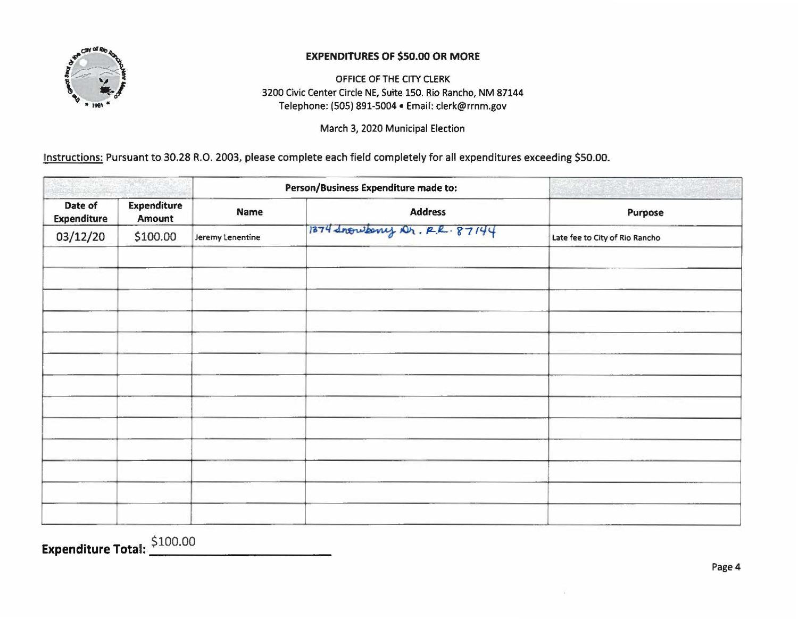

## EXPENDITURES OF \$50.00 OR MORE

OFFICE OF THE CITY CLERK 3200 Civic Center Circle NE, Suite 150. Rio Rancho, NM 87144 Telephone: (SOS) 891-5004 •Email: clerk@rrnm.gov

March 3, 2020 Municipal Election

Instructions: Pursuant to 30.28 R.O. 2003, please complete each field completely for all expenditures exceeding \$50.00.

|                               |                              | Person/Business Expenditure made to: |                              |                                |  |
|-------------------------------|------------------------------|--------------------------------------|------------------------------|--------------------------------|--|
| Date of<br><b>Expenditure</b> | <b>Expenditure</b><br>Amount | Name                                 | <b>Address</b>               | Purpose                        |  |
| 03/12/20                      | \$100.00                     | Jeremy Lenentine                     | 1874 Inousany Dr. R.R. 87144 | Late fee to City of Rio Rancho |  |
|                               |                              |                                      |                              |                                |  |
|                               |                              |                                      |                              |                                |  |
|                               |                              |                                      |                              |                                |  |
|                               |                              |                                      |                              |                                |  |
|                               |                              |                                      |                              |                                |  |
|                               |                              |                                      |                              |                                |  |
|                               |                              |                                      |                              |                                |  |
|                               |                              |                                      |                              |                                |  |
|                               |                              |                                      |                              |                                |  |
|                               |                              |                                      |                              |                                |  |
|                               |                              |                                      |                              |                                |  |

Expenditure Total:  $\frac{$100.00}{}$